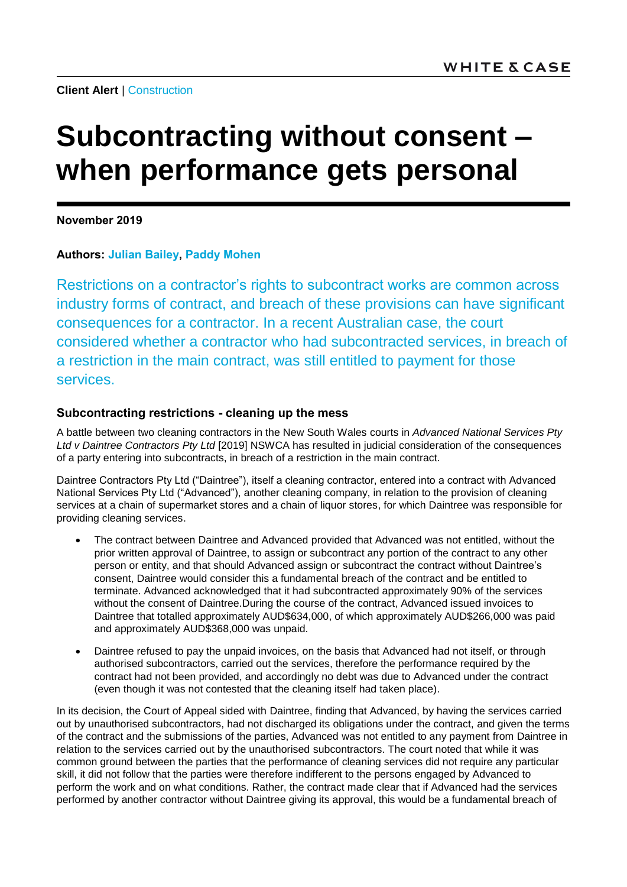**Client Alert** | [Construction](https://www.whitecase.com/law/practices/construction)

# **Subcontracting without consent – when performance gets personal**

**November 2019**

### **Authors: [Julian Bailey,](https://www.whitecase.com/people/julian-bailey) [Paddy Mohen](https://www.whitecase.com/people/paddy-mohen)**

Restrictions on a contractor's rights to subcontract works are common across industry forms of contract, and breach of these provisions can have significant consequences for a contractor. In a recent Australian case, the court considered whether a contractor who had subcontracted services, in breach of a restriction in the main contract, was still entitled to payment for those services.

## **Subcontracting restrictions - cleaning up the mess**

A battle between two cleaning contractors in the New South Wales courts in *Advanced National Services Pty Ltd v Daintree Contractors Pty Ltd* [2019] NSWCA has resulted in judicial consideration of the consequences of a party entering into subcontracts, in breach of a restriction in the main contract.

Daintree Contractors Pty Ltd ("Daintree"), itself a cleaning contractor, entered into a contract with Advanced National Services Pty Ltd ("Advanced"), another cleaning company, in relation to the provision of cleaning services at a chain of supermarket stores and a chain of liquor stores, for which Daintree was responsible for providing cleaning services.

- The contract between Daintree and Advanced provided that Advanced was not entitled, without the prior written approval of Daintree, to assign or subcontract any portion of the contract to any other person or entity, and that should Advanced assign or subcontract the contract without Daintree's consent, Daintree would consider this a fundamental breach of the contract and be entitled to terminate. Advanced acknowledged that it had subcontracted approximately 90% of the services without the consent of Daintree.During the course of the contract, Advanced issued invoices to Daintree that totalled approximately AUD\$634,000, of which approximately AUD\$266,000 was paid and approximately AUD\$368,000 was unpaid.
- Daintree refused to pay the unpaid invoices, on the basis that Advanced had not itself, or through authorised subcontractors, carried out the services, therefore the performance required by the contract had not been provided, and accordingly no debt was due to Advanced under the contract (even though it was not contested that the cleaning itself had taken place).

In its decision, the Court of Appeal sided with Daintree, finding that Advanced, by having the services carried out by unauthorised subcontractors, had not discharged its obligations under the contract, and given the terms of the contract and the submissions of the parties, Advanced was not entitled to any payment from Daintree in relation to the services carried out by the unauthorised subcontractors. The court noted that while it was common ground between the parties that the performance of cleaning services did not require any particular skill, it did not follow that the parties were therefore indifferent to the persons engaged by Advanced to perform the work and on what conditions. Rather, the contract made clear that if Advanced had the services performed by another contractor without Daintree giving its approval, this would be a fundamental breach of